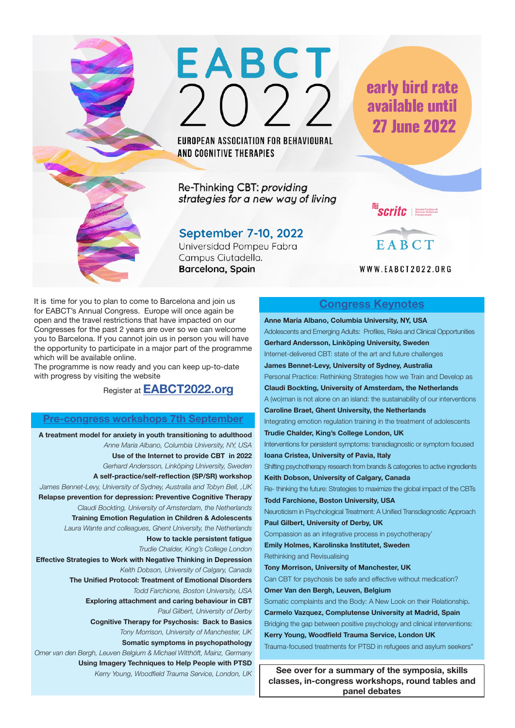

EUROPEAN ASSOCIATION FOR BEHAVIOURAL AND COGNITIVE THERAPIES

Re-Thinking CBT: providing strategies for a new way of living

# September 7-10, 2022

Universidad Pompeu Fabra Campus Ciutadella. Barcelona, Spain

early bird rate available until **27 June 2022** 

 $\textcolor{red}{\textbf{S}\textbf{C} \textbf{H}\textbf{t}\textbf{c}}$   $\textcolor{red}{\text{S}\textbf{c}\textbf{c}}$  and  $\textcolor{red}{\text{S}\textbf{c}\textbf{H}\textbf{t}\textbf{c}}$  $\rightarrow$ 



WWW.EABCT2022.ORG

It is time for you to plan to come to Barcelona and join us for EABCT's Annual Congress. Europe will once again be open and the travel restrictions that have impacted on our Congresses for the past 2 years are over so we can welcome you to Barcelona. If you cannot join us in person you will have the opportunity to participate in a major part of the programme which will be available online.

The programme is now ready and you can keep up-to-date with progress by visiting the website

Register at **EABCT2022.org**

### **Pre-congress workshops 7th September**

**A treatment model for anxiety in youth transitioning to adulthood** *Anne Maria Albano, Columbia University, NY, USA*  **Use of the Internet to provide CBT in 2022** *Gerhard Andersson, Linköping University, Sweden* **A self-practice/self-reflection (SP/SR) workshop**  *James Bennet-Levy, University of Sydney, Australia and Tobyn Bell, ,UK* **Relapse prevention for depression: Preventive Cognitive Therapy** *Claudi Bockting, University of Amsterdam, the Netherlands* **Training Emotion Regulation in Children & Adolescents** *Laura Wante and colleagues, Ghent University, the Netherlands*  **How to tackle persistent fatigue** *Trudie Chalder, King's College London* **Effective Strategies to Work with Negative Thinking in Depression** *Keith Dobson, University of Calgary, Canada* **The Unified Protocol: Treatment of Emotional Disorders** *Todd Farchione, Boston University, USA*  **Exploring attachment and caring behaviour in CBT** *Paul Gilbert, University of Derby* **Cognitive Therapy for Psychosis: Back to Basics** *Tony Morrison, University of Manchester, UK* **Somatic symptoms in psychopathology** *Omer van den Bergh, Leuven Belgium & Michael Witthöft, Mainz, Germany* **Using Imagery Techniques to Help People with PTSD** *Kerry Young, Woodfield Trauma Service, London, UK*

# **Congress Keynotes**

**Anne Maria Albano, Columbia University, NY, USA**  Adolescents and Emerging Adults: Profiles, Risks and Clinical Opportunities **Gerhard Andersson, Linköping University, Sweden** Internet-delivered CBT: state of the art and future challenges **James Bennet-Levy, University of Sydney, Australia**  Personal Practice: Rethinking Strategies how we Train and Develop as **Claudi Bockting, University of Amsterdam, the Netherlands** A (wo)man is not alone on an island: the sustainability of our interventions **Caroline Braet, Ghent University, the Netherlands**  Integrating emotion regulation training in the treatment of adolescents **Trudie Chalder, King's College London, UK** Interventions for persistent symptoms: transdiagnostic or symptom focused **Ioana Cristea, University of Pavia, Italy** Shifting psychotherapy research from brands & categories to active ingredients **Keith Dobson, University of Calgary, Canada** Re- thinking the future: Strategies to maximize the global impact of the CBTs **Todd Farchione, Boston University, USA** Neuroticism in Psychological Treatment: A Unified Transdiagnostic Approach **Paul Gilbert, University of Derby, UK** Compassion as an integrative process in psychotherapy' **Emily Holmes, Karolinska Institutet, Sweden** Rethinking and Revisualising **Tony Morrison, University of Manchester, UK** Can CBT for psychosis be safe and effective without medication? **Omer Van den Bergh, Leuven, Belgium** Somatic complaints and the Body: A New Look on their Relationship. **Carmelo Vazquez, Complutense University at Madrid, Spain** Bridging the gap between positive psychology and clinical interventions: **Kerry Young, Woodfield Trauma Service, London UK** Trauma-focused treatments for PTSD in refugees and asylum seekers" **See over for a summary of the symposia, skills** 

**classes, in-congress workshops, round tables and panel debates**